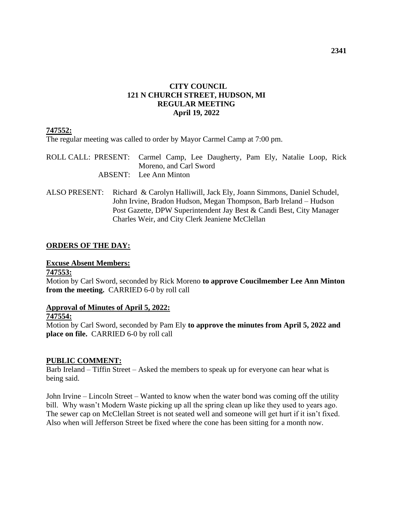# **CITY COUNCIL 121 N CHURCH STREET, HUDSON, MI REGULAR MEETING April 19, 2022**

# **747552:**

The regular meeting was called to order by Mayor Carmel Camp at 7:00 pm.

ROLL CALL: PRESENT: Carmel Camp, Lee Daugherty, Pam Ely, Natalie Loop, Rick Moreno, and Carl Sword ABSENT: Lee Ann Minton

ALSO PRESENT: Richard & Carolyn Halliwill, Jack Ely, Joann Simmons, Daniel Schudel, John Irvine, Bradon Hudson, Megan Thompson, Barb Ireland – Hudson Post Gazette, DPW Superintendent Jay Best & Candi Best, City Manager Charles Weir, and City Clerk Jeaniene McClellan

# **ORDERS OF THE DAY:**

### **Excuse Absent Members:**

### **747553:**

Motion by Carl Sword, seconded by Rick Moreno **to approve Coucilmember Lee Ann Minton from the meeting.** CARRIED 6-0 by roll call

### **Approval of Minutes of April 5, 2022:**

### **747554:**

Motion by Carl Sword, seconded by Pam Ely **to approve the minutes from April 5, 2022 and place on file.** CARRIED 6-0 by roll call

### **PUBLIC COMMENT:**

Barb Ireland – Tiffin Street – Asked the members to speak up for everyone can hear what is being said.

John Irvine – Lincoln Street – Wanted to know when the water bond was coming off the utility bill. Why wasn't Modern Waste picking up all the spring clean up like they used to years ago. The sewer cap on McClellan Street is not seated well and someone will get hurt if it isn't fixed. Also when will Jefferson Street be fixed where the cone has been sitting for a month now.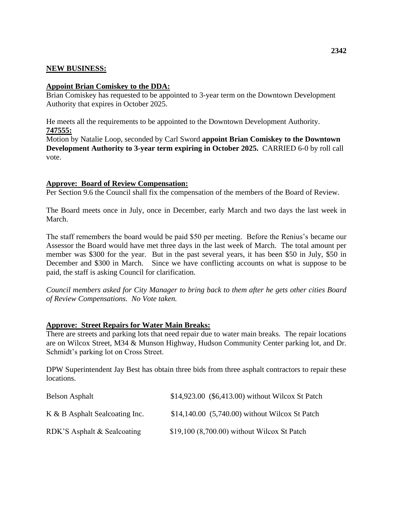# **NEW BUSINESS:**

### **Appoint Brian Comiskey to the DDA:**

Brian Comiskey has requested to be appointed to 3-year term on the Downtown Development Authority that expires in October 2025.

He meets all the requirements to be appointed to the Downtown Development Authority. **747555:**

Motion by Natalie Loop, seconded by Carl Sword **appoint Brian Comiskey to the Downtown Development Authority to 3-year term expiring in October 2025.** CARRIED 6-0 by roll call vote.

### **Approve: Board of Review Compensation:**

Per Section 9.6 the Council shall fix the compensation of the members of the Board of Review.

The Board meets once in July, once in December, early March and two days the last week in March.

The staff remembers the board would be paid \$50 per meeting. Before the Renius's became our Assessor the Board would have met three days in the last week of March. The total amount per member was \$300 for the year. But in the past several years, it has been \$50 in July, \$50 in December and \$300 in March. Since we have conflicting accounts on what is suppose to be paid, the staff is asking Council for clarification.

*Council members asked for City Manager to bring back to them after he gets other cities Board of Review Compensations. No Vote taken.*

### **Approve: Street Repairs for Water Main Breaks:**

There are streets and parking lots that need repair due to water main breaks. The repair locations are on Wilcox Street, M34 & Munson Highway, Hudson Community Center parking lot, and Dr. Schmidt's parking lot on Cross Street.

DPW Superintendent Jay Best has obtain three bids from three asphalt contractors to repair these locations.

| <b>Belson Asphalt</b>          | \$14,923.00 (\$6,413.00) without Wilcox St Patch |
|--------------------------------|--------------------------------------------------|
| K & B Asphalt Sealcoating Inc. | \$14,140.00 (5,740.00) without Wilcox St Patch   |
| RDK'S Asphalt & Sealcoating    | \$19,100 (8,700.00) without Wilcox St Patch      |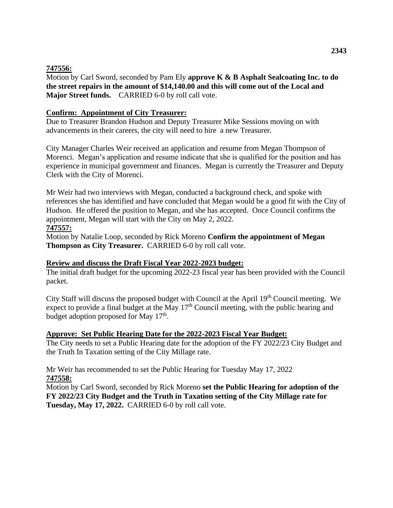# **747556:**

Motion by Carl Sword, seconded by Pam Ely **approve K & B Asphalt Sealcoating Inc. to do the street repairs in the amount of \$14,140.00 and this will come out of the Local and Major Street funds.** CARRIED 6-0 by roll call vote.

# **Confirm: Appointment of City Treasurer:**

Due to Treasurer Brandon Hudson and Deputy Treasurer Mike Sessions moving on with advancements in their careers, the city will need to hire a new Treasurer.

City Manager Charles Weir received an application and resume from Megan Thompson of Morenci. Megan's application and resume indicate that she is qualified for the position and has experience in municipal government and finances. Megan is currently the Treasurer and Deputy Clerk with the City of Morenci.

Mr Weir had two interviews with Megan, conducted a background check, and spoke with references she has identified and have concluded that Megan would be a good fit with the City of Hudson. He offered the position to Megan, and she has accepted. Once Council confirms the appointment, Megan will start with the City on May 2, 2022.

# **747557:**

Motion by Natalie Loop, seconded by Rick Moreno **Confirm the appointment of Megan Thompson as City Treasurer.** CARRIED 6-0 by roll call vote.

# **Review and discuss the Draft Fiscal Year 2022-2023 budget:**

The initial draft budget for the upcoming 2022-23 fiscal year has been provided with the Council packet.

City Staff will discuss the proposed budget with Council at the April 19th Council meeting. We expect to provide a final budget at the May  $17<sup>th</sup>$  Council meeting, with the public hearing and budget adoption proposed for May 17<sup>th</sup>.

# **Approve: Set Public Hearing Date for the 2022-2023 Fiscal Year Budget:**

The City needs to set a Public Hearing date for the adoption of the FY 2022/23 City Budget and the Truth In Taxation setting of the City Millage rate.

Mr Weir has recommended to set the Public Hearing for Tuesday May 17, 2022 **747558:**

Motion by Carl Sword, seconded by Rick Moreno **set the Public Hearing for adoption of the FY 2022/23 City Budget and the Truth in Taxation setting of the City Millage rate for Tuesday, May 17, 2022.** CARRIED 6-0 by roll call vote.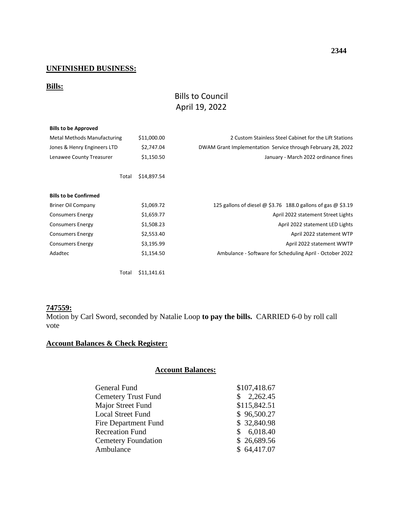# **UNFINISHED BUSINESS:**

# **Bills:**

# Bills to Council April 19, 2022

| <b>Bills to be Approved</b>        |             |                                                              |
|------------------------------------|-------------|--------------------------------------------------------------|
| <b>Metal Methods Manufacturing</b> | \$11,000.00 | 2 Custom Stainless Steel Cabinet for the Lift Stations       |
| Jones & Henry Engineers LTD        | \$2,747.04  | DWAM Grant Implementation Service through February 28, 2022  |
| Lenawee County Treasurer           | \$1,150.50  | January - March 2022 ordinance fines                         |
| Total                              | \$14,897.54 |                                                              |
| <b>Bills to be Confirmed</b>       |             |                                                              |
| <b>Briner Oil Company</b>          | \$1,069.72  | 125 gallons of diesel @ \$3.76 188.0 gallons of gas @ \$3.19 |
| <b>Consumers Energy</b>            | \$1,659.77  | April 2022 statement Street Lights                           |
| <b>Consumers Energy</b>            | \$1,508.23  | April 2022 statement LED Lights                              |
| <b>Consumers Energy</b>            | \$2,553.40  | April 2022 statement WTP                                     |
| <b>Consumers Energy</b>            | \$3,195.99  | April 2022 statement WWTP                                    |
| Adadtec                            | \$1,154.50  | Ambulance - Software for Scheduling April - October 2022     |
| Total                              | \$11,141.61 |                                                              |

### **747559:**

Motion by Carl Sword, seconded by Natalie Loop **to pay the bills.** CARRIED 6-0 by roll call vote

# **Account Balances & Check Register:**

# **Account Balances:**

| General Fund               | \$107,418.67             |
|----------------------------|--------------------------|
| <b>Cemetery Trust Fund</b> | 2,262.45<br>$\mathbb{S}$ |
| Major Street Fund          | \$115,842.51             |
| <b>Local Street Fund</b>   | \$96,500.27              |
| Fire Department Fund       | \$32,840.98              |
| <b>Recreation Fund</b>     | \$6,018.40               |
| <b>Cemetery Foundation</b> | \$26,689.56              |
| Ambulance                  | \$64,417.07              |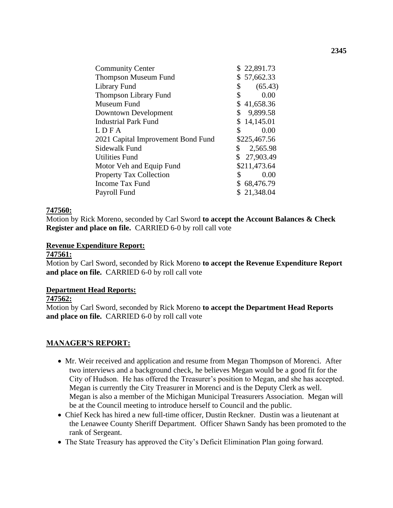| \$22,891.73                |
|----------------------------|
| \$57,662.33                |
| \$<br>(65.43)              |
| \$<br>0.00                 |
| \$41,658.36                |
| $\mathbb{S}^-$<br>9,899.58 |
| \$14,145.01                |
| \$<br>0.00                 |
| \$225,467.56               |
| \$<br>2,565.98             |
| \$27,903.49                |
| \$211,473.64               |
| \$<br>0.00                 |
| \$68,476.79                |
| \$21,348.04                |
|                            |

### **747560:**

Motion by Rick Moreno, seconded by Carl Sword **to accept the Account Balances & Check Register and place on file.** CARRIED 6-0 by roll call vote

#### **Revenue Expenditure Report:**

#### **747561:**

Motion by Carl Sword, seconded by Rick Moreno **to accept the Revenue Expenditure Report and place on file.** CARRIED 6-0 by roll call vote

#### **Department Head Reports:**

#### **747562:**

Motion by Carl Sword, seconded by Rick Moreno **to accept the Department Head Reports and place on file.** CARRIED 6-0 by roll call vote

### **MANAGER'S REPORT:**

- Mr. Weir received and application and resume from Megan Thompson of Morenci. After two interviews and a background check, he believes Megan would be a good fit for the City of Hudson. He has offered the Treasurer's position to Megan, and she has accepted. Megan is currently the City Treasurer in Morenci and is the Deputy Clerk as well. Megan is also a member of the Michigan Municipal Treasurers Association. Megan will be at the Council meeting to introduce herself to Council and the public.
- Chief Keck has hired a new full-time officer, Dustin Reckner. Dustin was a lieutenant at the Lenawee County Sheriff Department. Officer Shawn Sandy has been promoted to the rank of Sergeant.
- The State Treasury has approved the City's Deficit Elimination Plan going forward.